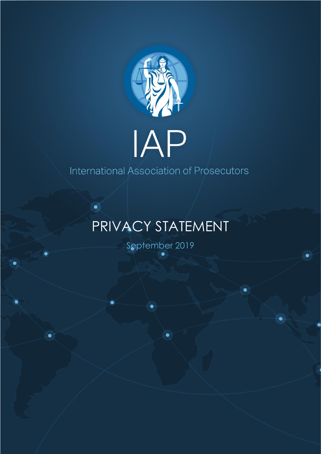

## IAP

International Association of Prosecutors

## PRIVACY STATEMENT

September 2019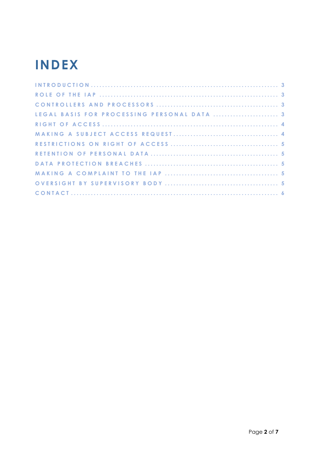## **INDEX**

| LEGAL BASIS FOR PROCESSING PERSONAL DATA  3 |  |
|---------------------------------------------|--|
|                                             |  |
|                                             |  |
|                                             |  |
|                                             |  |
|                                             |  |
|                                             |  |
|                                             |  |
|                                             |  |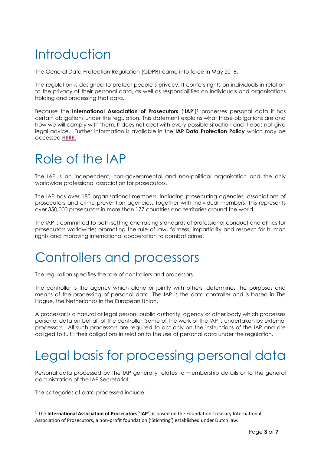### <span id="page-2-0"></span>**Introduction**

The General Data Protection Regulation (GDPR) came into force in May 2018.

The regulation is designed to protect people's privacy. It confers rights on individuals in relation to the privacy of their personal data, as well as responsibilities on individuals and organisations holding and processing that data.

Because the **International Association of Prosecutors** (**'IAP'**) **<sup>1</sup>** processes personal data it has certain obligations under the regulation. This statement explains what those obligations are and how we will comply with them. It does not deal with every possible situation and it does not give legal advice. Further information is available in the **IAP Data Protection Policy** which may be accessed **[HERE.](https://www.iap-association.org/Resources-Documentation/Privacy-Statement)**

#### <span id="page-2-1"></span>Role of the IAP

The IAP is an independent, non-governmental and non-political organisation and the only worldwide professional association for prosecutors.

The IAP has over 180 organisational members, including prosecuting agencies, associations of prosecutors and crime prevention agencies. Together with individual members, this represents over 350,000 prosecutors in more than 177 countries and territories around the world.

The IAP is committed to both setting and raising standards of professional conduct and ethics for prosecutors worldwide; promoting the rule of law, fairness, impartiality and respect for human rights and improving international cooperation to combat crime.

#### <span id="page-2-2"></span>Controllers and processors

The regulation specifies the role of controllers and processors.

The controller is the agency which alone or jointly with others, determines the purposes and means of the processing of personal data. The IAP is the data controller and is based in The Hague, the Netherlands in the European Union.

A processor is a natural or legal person, public authority, agency or other body which processes personal data on behalf of the controller. Some of the work of the IAP is undertaken by external processors. All such processors are required to act only on the instructions of the IAP and are obliged to fulfill their obligations in relation to the use of personal data under the regulation.

#### <span id="page-2-3"></span>Legal basis for processing personal data

Personal data processed by the IAP generally relates to membership details or to the general administration of the IAP Secretariat.

The categories of data processed include:

<sup>1</sup> The **International Association of Prosecutors**('**IAP**') is based on the Foundation Treasury International Association of Prosecutors, a non-profit foundation ('Stichting') established under Dutch law.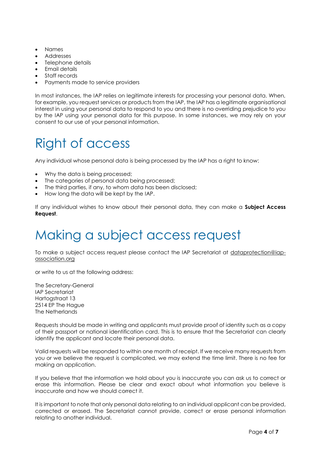- Names
- Addresses
- Telephone details
- Email details
- Staff records
- Payments made to service providers

In most instances, the IAP relies on legitimate interests for processing your personal data. When, for example, you request services or products from the IAP, the IAP has a legitimate organisational interest in using your personal data to respond to you and there is no overriding prejudice to you by the IAP using your personal data for this purpose. In some instances, we may rely on your consent to our use of your personal information.

#### <span id="page-3-0"></span>Right of access

Any individual whose personal data is being processed by the IAP has a right to know:

- Why the data is being processed;
- The categories of personal data being processed;
- The third parties, if any, to whom data has been disclosed;
- How long the data will be kept by the IAP.

If any individual wishes to know about their personal data, they can make a **Subject Access Request**.

#### <span id="page-3-1"></span>Making a subject access request

To make a subject access request please contact the IAP Secretariat at [dataprotection@iap](mailto:dataprotection@iap-association.org)[association.org](mailto:dataprotection@iap-association.org)

or write to us at the following address:

The Secretary-General IAP Secretariat Hartogstraat 13 2514 EP The Hague The Netherlands

Requests should be made in writing and applicants must provide proof of identity such as a copy of their passport or national identification card. This is to ensure that the Secretariat can clearly identify the applicant and locate their personal data.

Valid requests will be responded to within one month of receipt. If we receive many requests from you or we believe the request is complicated, we may extend the time limit. There is no fee for making an application.

If you believe that the information we hold about you is inaccurate you can ask us to correct or erase this information. Please be clear and exact about what information you believe is inaccurate and how we should correct it.

It is important to note that only personal data relating to an individual applicant can be provided, corrected or erased. The Secretariat cannot provide, correct or erase personal information relating to another individual.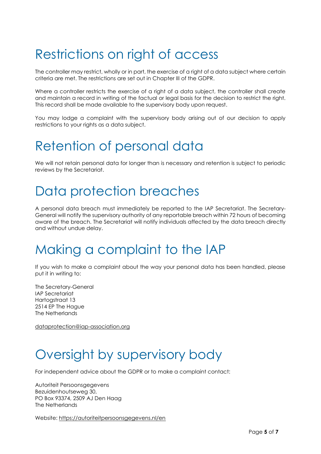#### <span id="page-4-0"></span>Restrictions on right of access

The controller may restrict, wholly or in part, the exercise of a right of a data subject where certain criteria are met. The restrictions are set out in Chapter III of the GDPR.

Where a controller restricts the exercise of a right of a data subject, the controller shall create and maintain a record in writing of the factual or legal basis for the decision to restrict the right. This record shall be made available to the supervisory body upon request.

You may lodge a complaint with the supervisory body arising out of our decision to apply restrictions to your rights as a data subject.

#### <span id="page-4-1"></span>Retention of personal data

We will not retain personal data for longer than is necessary and retention is subject to periodic reviews by the Secretariat.

#### <span id="page-4-2"></span>Data protection breaches

A personal data breach must immediately be reported to the IAP Secretariat. The Secretary-General will notify the supervisory authority of any reportable breach within 72 hours of becoming aware of the breach. The Secretariat will notify individuals affected by the data breach directly and without undue delay.

#### <span id="page-4-3"></span>Making a complaint to the IAP

If you wish to make a complaint about the way your personal data has been handled, please put it in writing to:

The Secretary-General IAP Secretariat Hartogstraat 13 2514 EP The Hague The Netherlands

[dataprotection@iap-association.org](mailto:dataprotection@iap-association.org)

#### <span id="page-4-4"></span>Oversight by supervisory body

For independent advice about the GDPR or to make a complaint contact:

Autoriteit Persoonsgegevens Bezuidenhoutseweg 30, PO Box 93374, 2509 AJ Den Haag The Netherlands

Website:<https://autoriteitpersoonsgegevens.nl/en>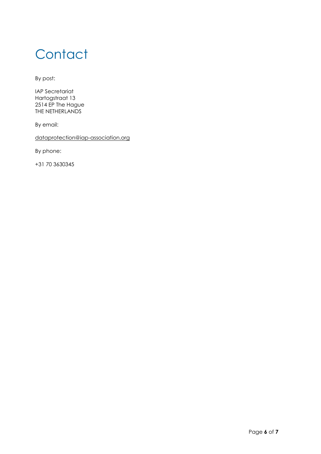#### <span id="page-5-0"></span>**Contact**

By post:

IAP Secretariat Hartogstraat 13 2514 EP The Hague THE NETHERLANDS

By email:

[dataprotection@iap-association.org](mailto:dataprotection@iap-association.org)

By phone:

+31 70 3630345